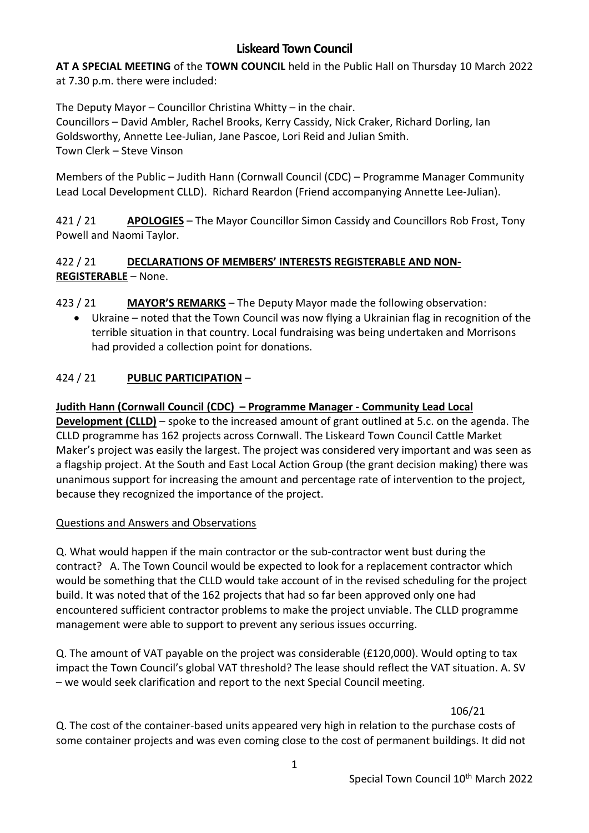# **Liskeard Town Council**

**AT A SPECIAL MEETING** of the **TOWN COUNCIL** held in the Public Hall on Thursday 10 March 2022 at 7.30 p.m. there were included:

The Deputy Mayor – Councillor Christina Whitty – in the chair. Councillors – David Ambler, Rachel Brooks, Kerry Cassidy, Nick Craker, Richard Dorling, Ian Goldsworthy, Annette Lee-Julian, Jane Pascoe, Lori Reid and Julian Smith. Town Clerk – Steve Vinson

Members of the Public – Judith Hann (Cornwall Council (CDC) – Programme Manager Community Lead Local Development CLLD). Richard Reardon (Friend accompanying Annette Lee-Julian).

421 / 21 **APOLOGIES** – The Mayor Councillor Simon Cassidy and Councillors Rob Frost, Tony Powell and Naomi Taylor.

### 422 / 21 **DECLARATIONS OF MEMBERS' INTERESTS REGISTERABLE AND NON-REGISTERABLE** – None.

423 / 21 **MAYOR'S REMARKS** – The Deputy Mayor made the following observation:

• Ukraine – noted that the Town Council was now flying a Ukrainian flag in recognition of the terrible situation in that country. Local fundraising was being undertaken and Morrisons had provided a collection point for donations.

# 424 / 21 **PUBLIC PARTICIPATION** –

#### **Judith Hann (Cornwall Council (CDC) – Programme Manager - Community Lead Local**

**Development (CLLD)** – spoke to the increased amount of grant outlined at 5.c. on the agenda. The CLLD programme has 162 projects across Cornwall. The Liskeard Town Council Cattle Market Maker's project was easily the largest. The project was considered very important and was seen as a flagship project. At the South and East Local Action Group (the grant decision making) there was unanimous support for increasing the amount and percentage rate of intervention to the project, because they recognized the importance of the project.

#### Questions and Answers and Observations

Q. What would happen if the main contractor or the sub-contractor went bust during the contract? A. The Town Council would be expected to look for a replacement contractor which would be something that the CLLD would take account of in the revised scheduling for the project build. It was noted that of the 162 projects that had so far been approved only one had encountered sufficient contractor problems to make the project unviable. The CLLD programme management were able to support to prevent any serious issues occurring.

Q. The amount of VAT payable on the project was considerable (£120,000). Would opting to tax impact the Town Council's global VAT threshold? The lease should reflect the VAT situation. A. SV – we would seek clarification and report to the next Special Council meeting.

106/21

Q. The cost of the container-based units appeared very high in relation to the purchase costs of some container projects and was even coming close to the cost of permanent buildings. It did not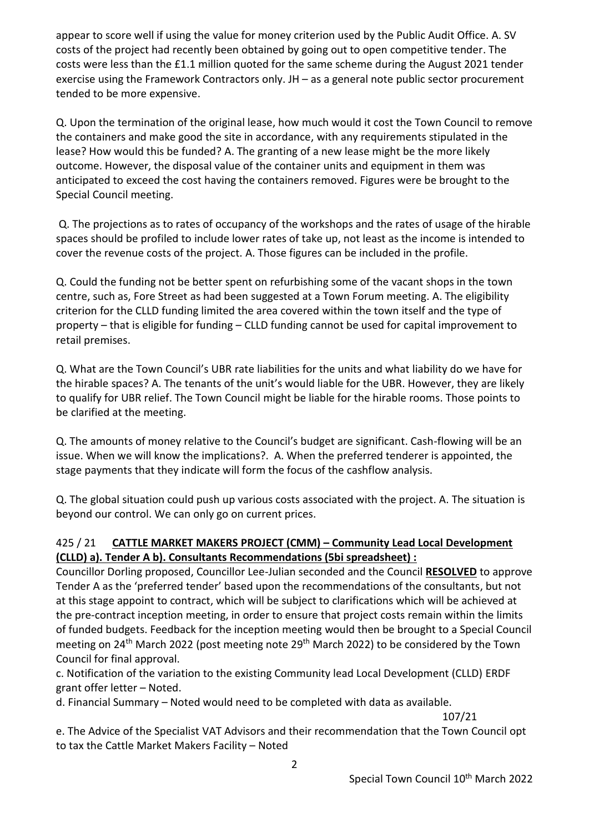appear to score well if using the value for money criterion used by the Public Audit Office. A. SV costs of the project had recently been obtained by going out to open competitive tender. The costs were less than the £1.1 million quoted for the same scheme during the August 2021 tender exercise using the Framework Contractors only. JH – as a general note public sector procurement tended to be more expensive.

Q. Upon the termination of the original lease, how much would it cost the Town Council to remove the containers and make good the site in accordance, with any requirements stipulated in the lease? How would this be funded? A. The granting of a new lease might be the more likely outcome. However, the disposal value of the container units and equipment in them was anticipated to exceed the cost having the containers removed. Figures were be brought to the Special Council meeting.

Q. The projections as to rates of occupancy of the workshops and the rates of usage of the hirable spaces should be profiled to include lower rates of take up, not least as the income is intended to cover the revenue costs of the project. A. Those figures can be included in the profile.

Q. Could the funding not be better spent on refurbishing some of the vacant shops in the town centre, such as, Fore Street as had been suggested at a Town Forum meeting. A. The eligibility criterion for the CLLD funding limited the area covered within the town itself and the type of property – that is eligible for funding – CLLD funding cannot be used for capital improvement to retail premises.

Q. What are the Town Council's UBR rate liabilities for the units and what liability do we have for the hirable spaces? A. The tenants of the unit's would liable for the UBR. However, they are likely to qualify for UBR relief. The Town Council might be liable for the hirable rooms. Those points to be clarified at the meeting.

Q. The amounts of money relative to the Council's budget are significant. Cash-flowing will be an issue. When we will know the implications?. A. When the preferred tenderer is appointed, the stage payments that they indicate will form the focus of the cashflow analysis.

Q. The global situation could push up various costs associated with the project. A. The situation is beyond our control. We can only go on current prices.

# 425 / 21 **CATTLE MARKET MAKERS PROJECT (CMM) – Community Lead Local Development (CLLD) a). Tender A b). Consultants Recommendations (5bi spreadsheet) :**

Councillor Dorling proposed, Councillor Lee-Julian seconded and the Council **RESOLVED** to approve Tender A as the 'preferred tender' based upon the recommendations of the consultants, but not at this stage appoint to contract, which will be subject to clarifications which will be achieved at the pre-contract inception meeting, in order to ensure that project costs remain within the limits of funded budgets. Feedback for the inception meeting would then be brought to a Special Council meeting on 24<sup>th</sup> March 2022 (post meeting note 29<sup>th</sup> March 2022) to be considered by the Town Council for final approval.

c. Notification of the variation to the existing Community lead Local Development (CLLD) ERDF grant offer letter – Noted.

d. Financial Summary – Noted would need to be completed with data as available.

107/21

e. The Advice of the Specialist VAT Advisors and their recommendation that the Town Council opt to tax the Cattle Market Makers Facility – Noted